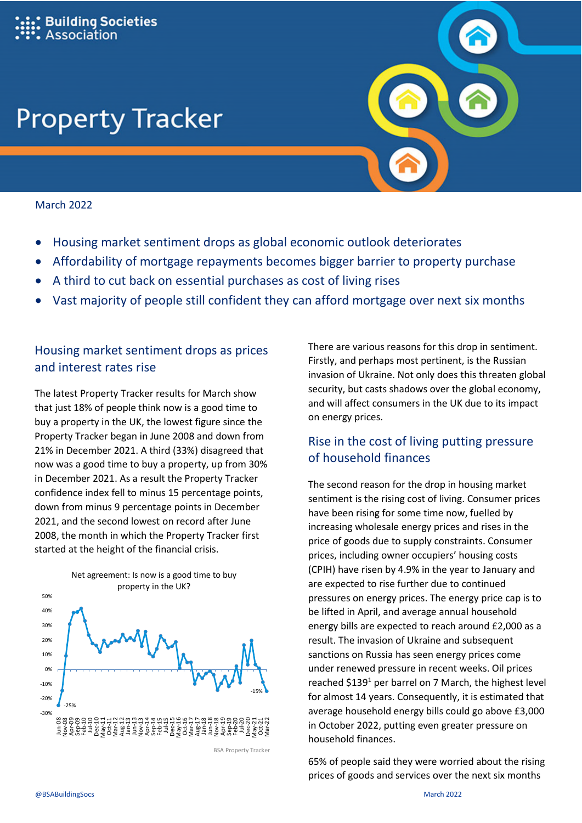#### **Building Societies** ssociation

# **Property Tracker**

#### March 2022

- Housing market sentiment drops as global economic outlook deteriorates
- Affordability of mortgage repayments becomes bigger barrier to property purchase
- A third to cut back on essential purchases as cost of living rises
- Vast majority of people still confident they can afford mortgage over next six months

### Housing market sentiment drops as prices and interest rates rise

The latest Property Tracker results for March show that just 18% of people think now is a good time to buy a property in the UK, the lowest figure since the Property Tracker began in June 2008 and down from 21% in December 2021. A third (33%) disagreed that now was a good time to buy a property, up from 30% in December 2021. As a result the Property Tracker confidence index fell to minus 15 percentage points, down from minus 9 percentage points in December 2021, and the second lowest on record after June 2008, the month in which the Property Tracker first started at the height of the financial crisis.



**BSA Property Tracker** 

There are various reasons for this drop in sentiment. Firstly, and perhaps most pertinent, is the Russian invasion of Ukraine. Not only does this threaten global security, but casts shadows over the global economy, and will affect consumers in the UK due to its impact on energy prices.

## Rise in the cost of living putting pressure of household finances

The second reason for the drop in housing market sentiment is the rising cost of living. Consumer prices have been rising for some time now, fuelled by increasing wholesale energy prices and rises in the price of goods due to supply constraints. Consumer prices, including owner occupiers' housing costs (CPIH) have risen by 4.9% in the year to January and are expected to rise further due to continued pressures on energy prices. The energy price cap is to be lifted in April, and average annual household energy bills are expected to reach around £2,000 as a result. The invasion of Ukraine and subsequent sanctions on Russia has seen energy prices come under renewed pressure in recent weeks. Oil prices reached \$139<sup>1</sup> per barrel on 7 March, the highest level for almost 14 years. Consequently, it is estimated that average household energy bills could go above £3,000 in October 2022, putting even greater pressure on household finances.

65% of people said they were worried about the rising prices of goods and services over the next six months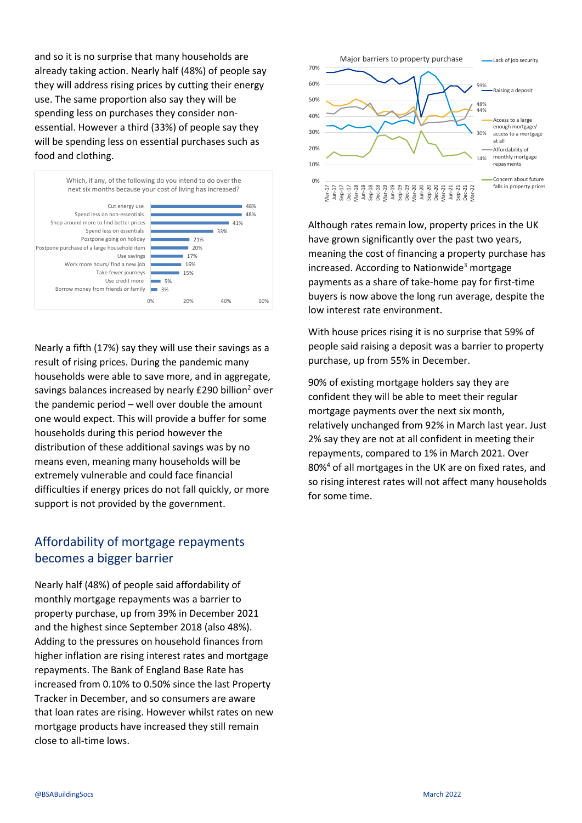and so it is no surprise that many households are already taking action. Nearly half (48%) of people say they will address rising prices by cutting their energy use. The same proportion also say they will be spending less on purchases they consider nonessential. However a third (33%) of people say they will be spending less on essential purchases such as food and clothing.



Nearly a fifth (17%) say they will use their savings as a result of rising prices. During the pandemic many households were able to save more, and in aggregate, savings balances increased by nearly £290 billion<sup>2</sup> over the pandemic period – well over double the amount one would expect. This will provide a buffer for some households during this period however the distribution of these additional savings was by no means even, meaning many households will be extremely vulnerable and could face financial difficulties if energy prices do not fall quickly, or more support is not provided by the government.

#### Affordability of mortgage repayments becomes a bigger barrier

Nearly half (48%) of people said affordability of monthly mortgage repayments was a barrier to property purchase, up from 39% in December 2021 and the highest since September 2018 (also 48%). Adding to the pressures on household finances from higher inflation are rising interest rates and mortgage repayments. The Bank of England Base Rate has increased from 0.10% to 0.50% since the last Property Tracker in December, and so consumers are aware that loan rates are rising. However whilst rates on new mortgage products have increased they still remain close to all-time lows.



Although rates remain low, property prices in the UK have grown significantly over the past two years, meaning the cost of financing a property purchase has increased. According to Nationwide<sup>3</sup> mortgage payments as a share of take-home pay for first-time buyers is now above the long run average, despite the low interest rate environment.

With house prices rising it is no surprise that 59% of people said raising a deposit was a barrier to property purchase, up from 55% in December.

90% of existing mortgage holders say they are confident they will be able to meet their regular mortgage payments over the next six month, relatively unchanged from 92% in March last year. Just 2% say they are not at all confident in meeting their repayments, compared to 1% in March 2021. Over 80%<sup>4</sup> of all mortgages in the UK are on fixed rates, and so rising interest rates will not affect many households for some time.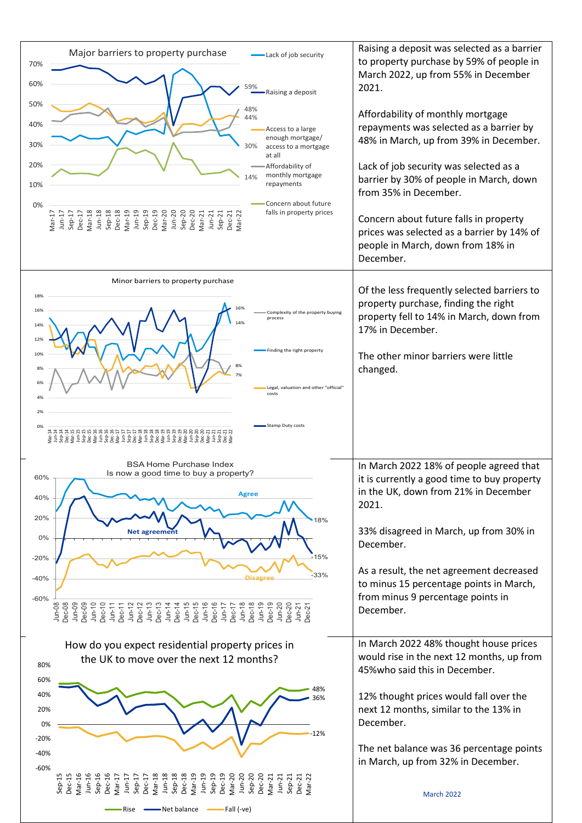| Major barriers to property purchase<br>Lack of job security<br>70%<br>60%<br>59%<br>Raising a deposit<br>50%<br>48%<br>44%<br>40%<br>Access to a large<br>enough mortgage/<br>30%<br>30%<br>access to a mortgage<br>at all<br>20%<br>Affordability of<br>monthly mortgage<br>14%<br>repayments<br>10%<br>Concern about future<br>0%<br>falls in property prices<br>Jun-19<br>Sep-19<br>Dec-19<br>Mar-20<br>$Dec-20$<br>$Mar-17$<br>Jun-17<br>Sep-17<br>Dec-18<br>Jun-20<br>Sep-20<br>Mar-18<br>Jun-18<br>Sep-18<br>Mar-19<br>Dec-21<br>$Mar-21$<br>$Sep-21$<br>Mar-22<br>$Jun-21$<br>Dec-17 | Raising a deposit was selected as a barrier<br>to property purchase by 59% of people in<br>March 2022, up from 55% in December<br>2021.<br>Affordability of monthly mortgage<br>repayments was selected as a barrier by<br>48% in March, up from 39% in December.<br>Lack of job security was selected as a<br>barrier by 30% of people in March, down<br>from 35% in December.<br>Concern about future falls in property<br>prices was selected as a barrier by 14% of<br>people in March, down from 18% in<br>December. |
|---------------------------------------------------------------------------------------------------------------------------------------------------------------------------------------------------------------------------------------------------------------------------------------------------------------------------------------------------------------------------------------------------------------------------------------------------------------------------------------------------------------------------------------------------------------------------------------------|---------------------------------------------------------------------------------------------------------------------------------------------------------------------------------------------------------------------------------------------------------------------------------------------------------------------------------------------------------------------------------------------------------------------------------------------------------------------------------------------------------------------------|
| Minor barriers to property purchase<br>18%<br>16%<br>Complexity of the property buying<br>process<br>14%<br>14%<br>12%<br>Finding the right property<br>10%<br>8%<br>8%<br>6%<br>Legal, valuation and other "official"<br>costs<br>4%<br>2%<br>Stamp Duty costs<br>0%<br>ו לא האופי האופי האופי האופי האופי האופי האופי האופי האופי האופי האופי האופי האופי האופי האופי האופי האופי הא<br>האופי האופי האופי האופי האופי האופי האופי האופי האופי האופי האופי האופי האופי האופי האופי האופי האופי האופי הא                                                                                    | Of the less frequently selected barriers to<br>property purchase, finding the right<br>property fell to 14% in March, down from<br>17% in December.<br>The other minor barriers were little<br>changed.                                                                                                                                                                                                                                                                                                                   |
| <b>BSA Home Purchase Index</b><br>Is now a good time to buy a property?<br>60% $\neg$<br>Agree<br>40%<br>20%<br>18%<br>Net agreemen<br>$0\%$<br>15%<br>$-20%$<br>-33%<br>$-40%$<br>$-60%$<br>Jun-08<br>Dec-08<br>Jun-21<br>Dec-21                                                                                                                                                                                                                                                                                                                                                           | In March 2022 18% of people agreed that<br>it is currently a good time to buy property<br>in the UK, down from 21% in December<br>2021.<br>33% disagreed in March, up from 30% in<br>December.<br>As a result, the net agreement decreased<br>to minus 15 percentage points in March,<br>from minus 9 percentage points in<br>December.                                                                                                                                                                                   |
| How do you expect residential property prices in<br>the UK to move over the next 12 months?<br>80%<br>60%<br>40%<br>٬6%<br>20%<br>0%<br>12%<br>$-20%$<br>$-40%$<br>$-60%$<br>Jun-19<br>Sep-19<br>Dec-19<br>Dec-20<br>Jun-20<br>Sep-20<br>Sep-20<br>$Sep-15$<br>$Jun-18$<br>$Sep-18$<br>Dec-18<br>Mar-19<br>Mar-16<br>Jun-16<br>Dec-17<br>Mar-18<br>$Sep-16$<br>Dec-16<br>Mar-17<br>$Sep-17$<br>$Mar-21$<br>$Jun-17$<br>$J$ un- $21$<br>$Sep-21$<br>Dec-21<br>Mar-22<br>Net balance Fall (-ve)<br>Rise                                                                                       | In March 2022 48% thought house prices<br>would rise in the next 12 months, up from<br>45% who said this in December.<br>12% thought prices would fall over the<br>next 12 months, similar to the 13% in<br>December.<br>The net balance was 36 percentage points<br>in March, up from 32% in December.<br><b>March 2022</b>                                                                                                                                                                                              |